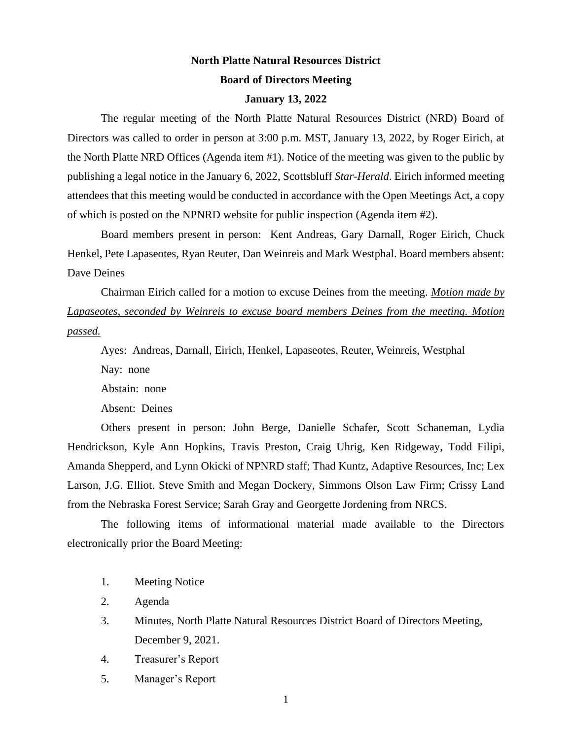# **North Platte Natural Resources District Board of Directors Meeting**

#### **January 13, 2022**

The regular meeting of the North Platte Natural Resources District (NRD) Board of Directors was called to order in person at 3:00 p.m. MST, January 13, 2022, by Roger Eirich, at the North Platte NRD Offices (Agenda item #1). Notice of the meeting was given to the public by publishing a legal notice in the January 6, 2022, Scottsbluff *Star-Herald*. Eirich informed meeting attendees that this meeting would be conducted in accordance with the Open Meetings Act, a copy of which is posted on the NPNRD website for public inspection (Agenda item #2).

Board members present in person: Kent Andreas, Gary Darnall, Roger Eirich, Chuck Henkel, Pete Lapaseotes, Ryan Reuter, Dan Weinreis and Mark Westphal. Board members absent: Dave Deines

Chairman Eirich called for a motion to excuse Deines from the meeting. *Motion made by Lapaseotes, seconded by Weinreis to excuse board members Deines from the meeting. Motion passed.*

Ayes: Andreas, Darnall, Eirich, Henkel, Lapaseotes, Reuter, Weinreis, Westphal

Nay: none

Abstain: none

Absent: Deines

Others present in person: John Berge, Danielle Schafer, Scott Schaneman, Lydia Hendrickson, Kyle Ann Hopkins, Travis Preston, Craig Uhrig, Ken Ridgeway, Todd Filipi, Amanda Shepperd, and Lynn Okicki of NPNRD staff; Thad Kuntz, Adaptive Resources, Inc; Lex Larson, J.G. Elliot. Steve Smith and Megan Dockery, Simmons Olson Law Firm; Crissy Land from the Nebraska Forest Service; Sarah Gray and Georgette Jordening from NRCS.

The following items of informational material made available to the Directors electronically prior the Board Meeting:

1. Meeting Notice

2. Agenda

- 3. Minutes, North Platte Natural Resources District Board of Directors Meeting, December 9, 2021.
- 4. Treasurer's Report
- 5. Manager's Report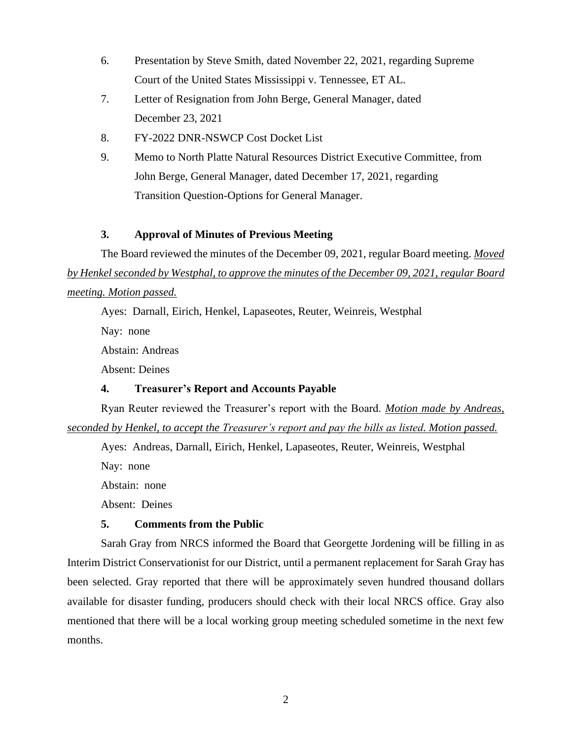- 6. Presentation by Steve Smith, dated November 22, 2021, regarding Supreme Court of the United States Mississippi v. Tennessee, ET AL.
- 7. Letter of Resignation from John Berge, General Manager, dated December 23, 2021
- 8. FY-2022 DNR-NSWCP Cost Docket List
- 9. Memo to North Platte Natural Resources District Executive Committee, from John Berge, General Manager, dated December 17, 2021, regarding Transition Question-Options for General Manager.

## **3. Approval of Minutes of Previous Meeting**

The Board reviewed the minutes of the December 09, 2021, regular Board meeting. *Moved by Henkel seconded by Westphal, to approve the minutes of the December 09, 2021, regular Board meeting. Motion passed.*

Ayes: Darnall, Eirich, Henkel, Lapaseotes, Reuter, Weinreis, Westphal Nay: none Abstain: Andreas Absent: Deines

# **4. Treasurer's Report and Accounts Payable**

Ryan Reuter reviewed the Treasurer's report with the Board. *Motion made by Andreas, seconded by Henkel, to accept the Treasurer's report and pay the bills as listed. Motion passed.*

Ayes: Andreas, Darnall, Eirich, Henkel, Lapaseotes, Reuter, Weinreis, Westphal

Nay: none

Abstain: none

Absent: Deines

### **5. Comments from the Public**

Sarah Gray from NRCS informed the Board that Georgette Jordening will be filling in as Interim District Conservationist for our District, until a permanent replacement for Sarah Gray has been selected. Gray reported that there will be approximately seven hundred thousand dollars available for disaster funding, producers should check with their local NRCS office. Gray also mentioned that there will be a local working group meeting scheduled sometime in the next few months.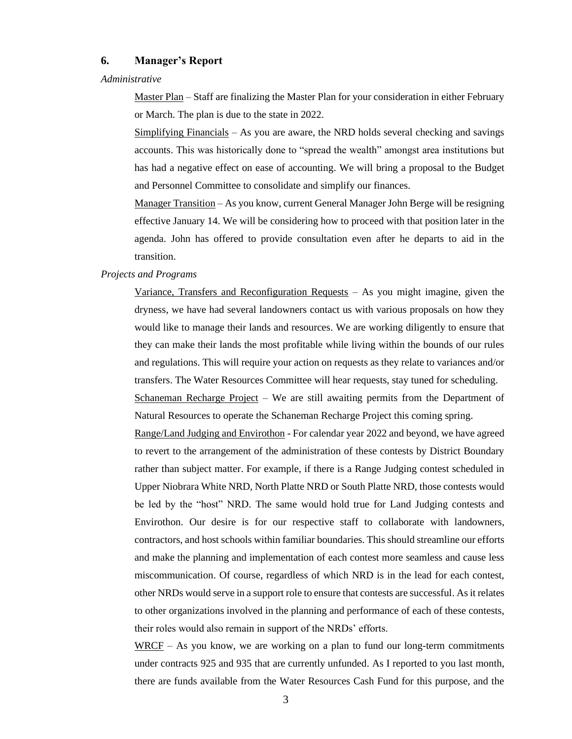### **6. Manager's Report**

#### *Administrative*

Master Plan – Staff are finalizing the Master Plan for your consideration in either February or March. The plan is due to the state in 2022.

Simplifying Financials – As you are aware, the NRD holds several checking and savings accounts. This was historically done to "spread the wealth" amongst area institutions but has had a negative effect on ease of accounting. We will bring a proposal to the Budget and Personnel Committee to consolidate and simplify our finances.

Manager Transition – As you know, current General Manager John Berge will be resigning effective January 14. We will be considering how to proceed with that position later in the agenda. John has offered to provide consultation even after he departs to aid in the transition.

#### *Projects and Programs*

Variance, Transfers and Reconfiguration Requests – As you might imagine, given the dryness, we have had several landowners contact us with various proposals on how they would like to manage their lands and resources. We are working diligently to ensure that they can make their lands the most profitable while living within the bounds of our rules and regulations. This will require your action on requests as they relate to variances and/or transfers. The Water Resources Committee will hear requests, stay tuned for scheduling.

Schaneman Recharge Project – We are still awaiting permits from the Department of Natural Resources to operate the Schaneman Recharge Project this coming spring.

Range/Land Judging and Envirothon - For calendar year 2022 and beyond, we have agreed to revert to the arrangement of the administration of these contests by District Boundary rather than subject matter. For example, if there is a Range Judging contest scheduled in Upper Niobrara White NRD, North Platte NRD or South Platte NRD, those contests would be led by the "host" NRD. The same would hold true for Land Judging contests and Envirothon. Our desire is for our respective staff to collaborate with landowners, contractors, and host schools within familiar boundaries. This should streamline our efforts and make the planning and implementation of each contest more seamless and cause less miscommunication. Of course, regardless of which NRD is in the lead for each contest, other NRDs would serve in a support role to ensure that contests are successful. As it relates to other organizations involved in the planning and performance of each of these contests, their roles would also remain in support of the NRDs' efforts.

WRCF – As you know, we are working on a plan to fund our long-term commitments under contracts 925 and 935 that are currently unfunded. As I reported to you last month, there are funds available from the Water Resources Cash Fund for this purpose, and the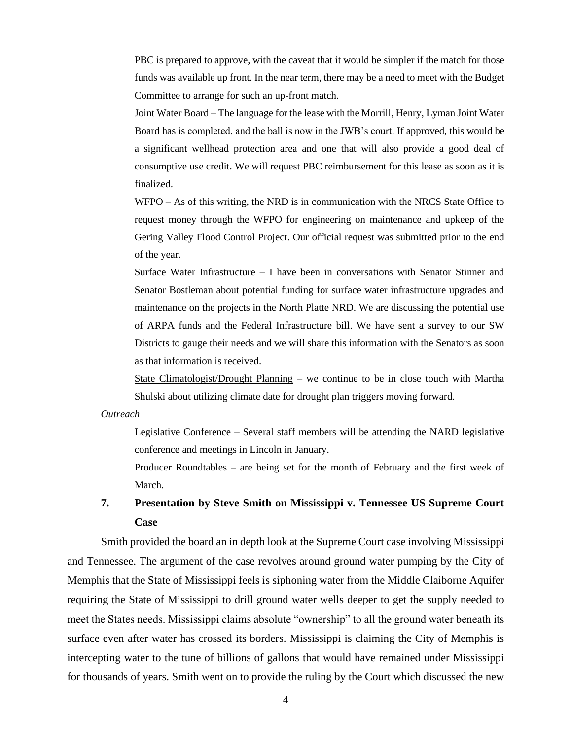PBC is prepared to approve, with the caveat that it would be simpler if the match for those funds was available up front. In the near term, there may be a need to meet with the Budget Committee to arrange for such an up-front match.

Joint Water Board – The language for the lease with the Morrill, Henry, Lyman Joint Water Board has is completed, and the ball is now in the JWB's court. If approved, this would be a significant wellhead protection area and one that will also provide a good deal of consumptive use credit. We will request PBC reimbursement for this lease as soon as it is finalized.

WFPO – As of this writing, the NRD is in communication with the NRCS State Office to request money through the WFPO for engineering on maintenance and upkeep of the Gering Valley Flood Control Project. Our official request was submitted prior to the end of the year.

Surface Water Infrastructure – I have been in conversations with Senator Stinner and Senator Bostleman about potential funding for surface water infrastructure upgrades and maintenance on the projects in the North Platte NRD. We are discussing the potential use of ARPA funds and the Federal Infrastructure bill. We have sent a survey to our SW Districts to gauge their needs and we will share this information with the Senators as soon as that information is received.

State Climatologist/Drought Planning – we continue to be in close touch with Martha Shulski about utilizing climate date for drought plan triggers moving forward.

*Outreach*

Legislative Conference – Several staff members will be attending the NARD legislative conference and meetings in Lincoln in January.

Producer Roundtables – are being set for the month of February and the first week of March.

# **7. Presentation by Steve Smith on Mississippi v. Tennessee US Supreme Court Case**

Smith provided the board an in depth look at the Supreme Court case involving Mississippi and Tennessee. The argument of the case revolves around ground water pumping by the City of Memphis that the State of Mississippi feels is siphoning water from the Middle Claiborne Aquifer requiring the State of Mississippi to drill ground water wells deeper to get the supply needed to meet the States needs. Mississippi claims absolute "ownership" to all the ground water beneath its surface even after water has crossed its borders. Mississippi is claiming the City of Memphis is intercepting water to the tune of billions of gallons that would have remained under Mississippi for thousands of years. Smith went on to provide the ruling by the Court which discussed the new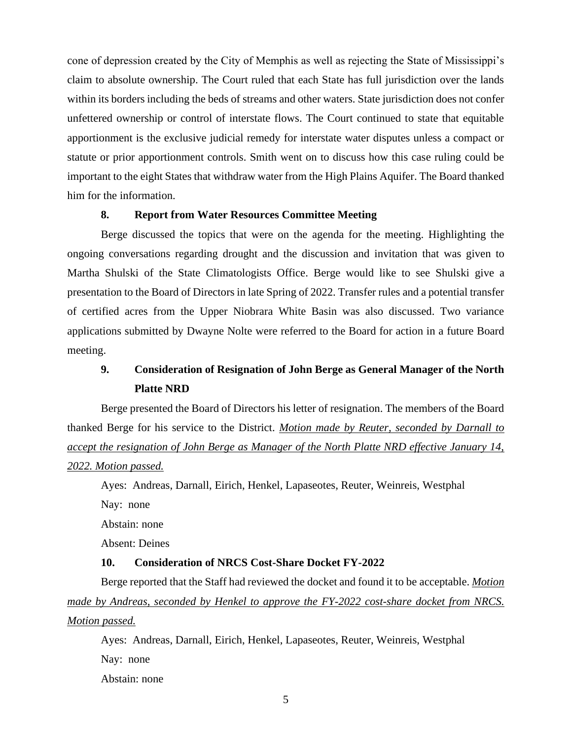cone of depression created by the City of Memphis as well as rejecting the State of Mississippi's claim to absolute ownership. The Court ruled that each State has full jurisdiction over the lands within its borders including the beds of streams and other waters. State jurisdiction does not confer unfettered ownership or control of interstate flows. The Court continued to state that equitable apportionment is the exclusive judicial remedy for interstate water disputes unless a compact or statute or prior apportionment controls. Smith went on to discuss how this case ruling could be important to the eight States that withdraw water from the High Plains Aquifer. The Board thanked him for the information.

### **8. Report from Water Resources Committee Meeting**

Berge discussed the topics that were on the agenda for the meeting. Highlighting the ongoing conversations regarding drought and the discussion and invitation that was given to Martha Shulski of the State Climatologists Office. Berge would like to see Shulski give a presentation to the Board of Directors in late Spring of 2022. Transfer rules and a potential transfer of certified acres from the Upper Niobrara White Basin was also discussed. Two variance applications submitted by Dwayne Nolte were referred to the Board for action in a future Board meeting.

# **9. Consideration of Resignation of John Berge as General Manager of the North Platte NRD**

Berge presented the Board of Directors his letter of resignation. The members of the Board thanked Berge for his service to the District. *Motion made by Reuter, seconded by Darnall to accept the resignation of John Berge as Manager of the North Platte NRD effective January 14, 2022. Motion passed.*

Ayes: Andreas, Darnall, Eirich, Henkel, Lapaseotes, Reuter, Weinreis, Westphal

Nay: none

Abstain: none

Absent: Deines

### **10. Consideration of NRCS Cost-Share Docket FY-2022**

Berge reported that the Staff had reviewed the docket and found it to be acceptable. *Motion made by Andreas, seconded by Henkel to approve the FY-2022 cost-share docket from NRCS. Motion passed.*

Ayes: Andreas, Darnall, Eirich, Henkel, Lapaseotes, Reuter, Weinreis, Westphal Nay: none Abstain: none